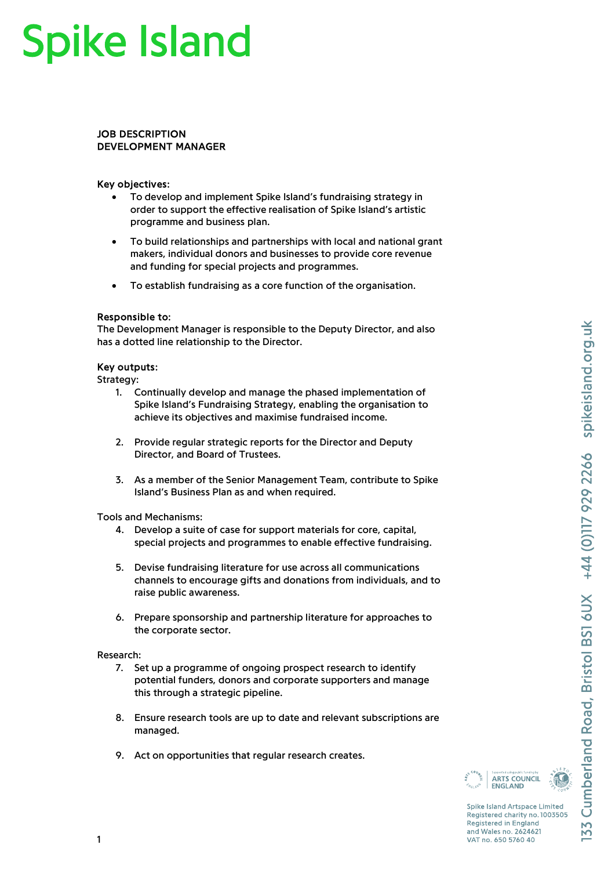# **Spike Island**

## JOB DESCRIPTION DEVELOPMENT MANAGER

#### Key objectives:

- To develop and implement Spike Island's fundraising strategy in order to support the effective realisation of Spike Island's artistic programme and business plan.
- To build relationships and partnerships with local and national grant makers, individual donors and businesses to provide core revenue and funding for special projects and programmes.
- To establish fundraising as a core function of the organisation.

#### Responsible to:

The Development Manager is responsible to the Deputy Director, and also has a dotted line relationship to the Director.

## Key outputs:

Strategy:

- 1. Continually develop and manage the phased implementation of Spike Island's Fundraising Strategy, enabling the organisation to achieve its objectives and maximise fundraised income.
- 2. Provide regular strategic reports for the Director and Deputy Director, and Board of Trustees.
- 3. As a member of the Senior Management Team, contribute to Spike Island's Business Plan as and when required.

Tools and Mechanisms:

- 4. Develop a suite of case for support materials for core, capital, special projects and programmes to enable effective fundraising.
- 5. Devise fundraising literature for use across all communications channels to encourage gifts and donations from individuals, and to raise public awareness.
- 6. Prepare sponsorship and partnership literature for approaches to the corporate sector.

#### Research:

- 7. Set up a programme of ongoing prospect research to identify potential funders, donors and corporate supporters and manage this through a strategic pipeline.
- 8. Ensure research tools are up to date and relevant subscriptions are managed.
- 9. Act on opportunities that regular research creates.



Spike Island Artspace Limited Registered charity no. 1003505 **Registered in England** and Wales no. 2624621 VAT no. 650 5760 40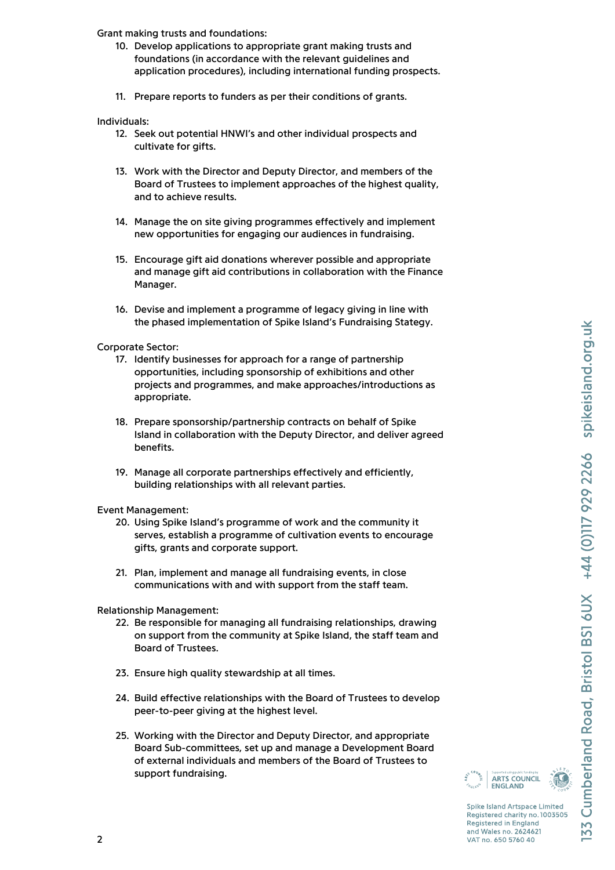Grant making trusts and foundations:

- 10. Develop applications to appropriate grant making trusts and foundations (in accordance with the relevant guidelines and application procedures), including international funding prospects.
- 11. Prepare reports to funders as per their conditions of grants.

Individuals:

- 12. Seek out potential HNWI's and other individual prospects and cultivate for gifts.
- 13. Work with the Director and Deputy Director, and members of the Board of Trustees to implement approaches of the highest quality, and to achieve results.
- 14. Manage the on site giving programmes effectively and implement new opportunities for engaging our audiences in fundraising.
- 15. Encourage gift aid donations wherever possible and appropriate and manage gift aid contributions in collaboration with the Finance Manager.
- 16. Devise and implement a programme of legacy giving in line with the phased implementation of Spike Island's Fundraising Stategy.

Corporate Sector:

- 17. Identify businesses for approach for a range of partnership opportunities, including sponsorship of exhibitions and other projects and programmes, and make approaches/introductions as appropriate.
- 18. Prepare sponsorship/partnership contracts on behalf of Spike Island in collaboration with the Deputy Director, and deliver agreed benefits.
- 19. Manage all corporate partnerships effectively and efficiently, building relationships with all relevant parties.

Event Management:

- 20. Using Spike Island's programme of work and the community it serves, establish a programme of cultivation events to encourage gifts, grants and corporate support.
- 21. Plan, implement and manage all fundraising events, in close communications with and with support from the staff team.

Relationship Management:

- 22. Be responsible for managing all fundraising relationships, drawing on support from the community at Spike Island, the staff team and Board of Trustees.
- 23. Ensure high quality stewardship at all times.
- 24. Build effective relationships with the Board of Trustees to develop peer-to-peer giving at the highest level.
- 25. Working with the Director and Deputy Director, and appropriate Board Sub-committees, set up and manage a Development Board of external individuals and members of the Board of Trustees to support fundraising.



Spike Island Artspace Limited Registered charity no. 1003505 Registered in England and Wales no. 2624621 VAT no. 650 5760 40